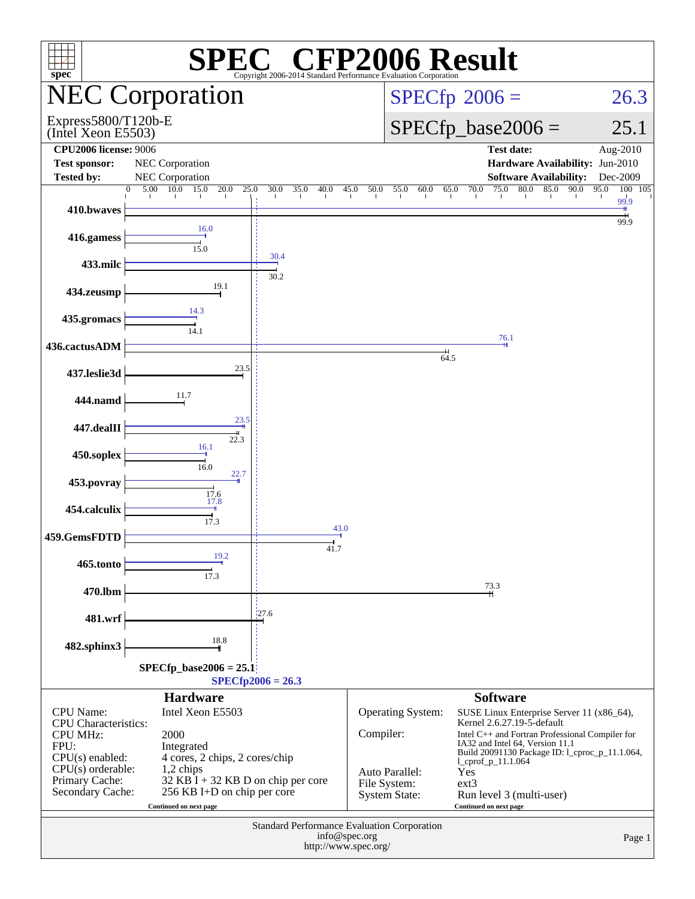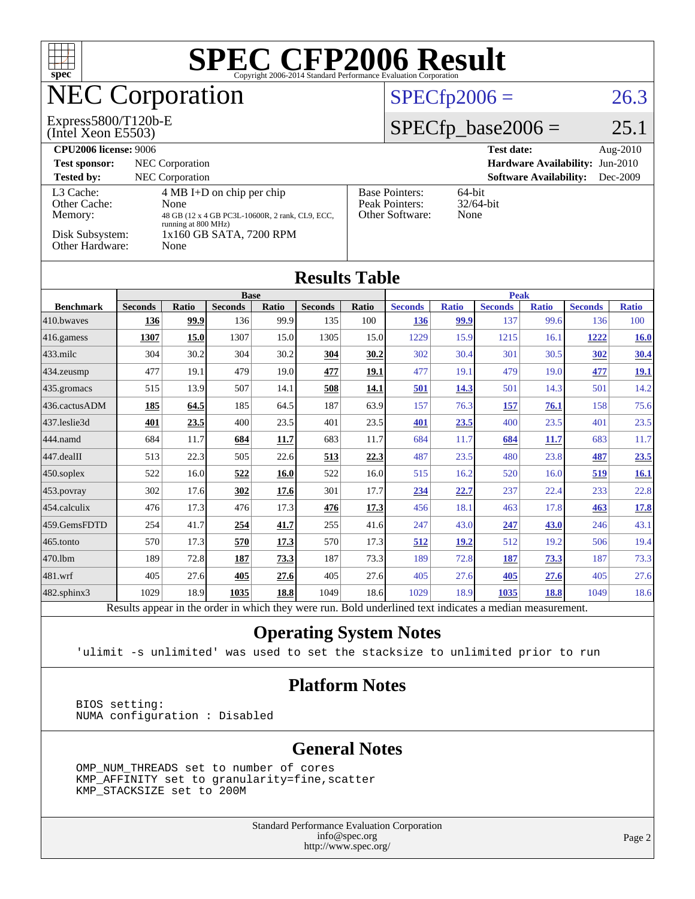

[482.sphinx3](http://www.spec.org/auto/cpu2006/Docs/482.sphinx3.html) 1029 18.9 **[1035](http://www.spec.org/auto/cpu2006/Docs/result-fields.html#Median) [18.8](http://www.spec.org/auto/cpu2006/Docs/result-fields.html#Median)** 1049 18.6 1029 18.9 **[1035](http://www.spec.org/auto/cpu2006/Docs/result-fields.html#Median) [18.8](http://www.spec.org/auto/cpu2006/Docs/result-fields.html#Median)** 1049 18.6 Results appear in the [order in which they were run.](http://www.spec.org/auto/cpu2006/Docs/result-fields.html#RunOrder) Bold underlined text [indicates a median measurement.](http://www.spec.org/auto/cpu2006/Docs/result-fields.html#Median)

#### **[Operating System Notes](http://www.spec.org/auto/cpu2006/Docs/result-fields.html#OperatingSystemNotes)**

'ulimit -s unlimited' was used to set the stacksize to unlimited prior to run

#### **[Platform Notes](http://www.spec.org/auto/cpu2006/Docs/result-fields.html#PlatformNotes)**

 BIOS setting: NUMA configuration : Disabled

#### **[General Notes](http://www.spec.org/auto/cpu2006/Docs/result-fields.html#GeneralNotes)**

 OMP\_NUM\_THREADS set to number of cores KMP\_AFFINITY set to granularity=fine,scatter KMP\_STACKSIZE set to 200M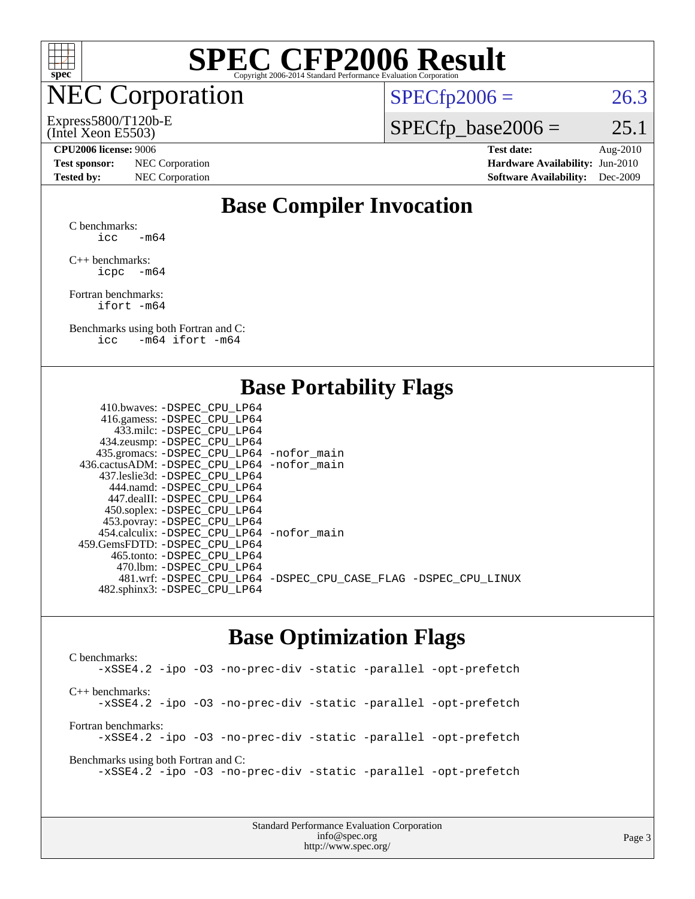

# NEC Corporation

#### (Intel Xeon E5503) Express5800/T120b-E

 $SPECTp2006 = 26.3$ 

 $SPECfp\_base2006 = 25.1$ 

**[Test sponsor:](http://www.spec.org/auto/cpu2006/Docs/result-fields.html#Testsponsor)** NEC Corporation **[Hardware Availability:](http://www.spec.org/auto/cpu2006/Docs/result-fields.html#HardwareAvailability)** Jun-2010 **[Tested by:](http://www.spec.org/auto/cpu2006/Docs/result-fields.html#Testedby)** NEC Corporation **[Software Availability:](http://www.spec.org/auto/cpu2006/Docs/result-fields.html#SoftwareAvailability)** Dec-2009

**[CPU2006 license:](http://www.spec.org/auto/cpu2006/Docs/result-fields.html#CPU2006license)** 9006 **[Test date:](http://www.spec.org/auto/cpu2006/Docs/result-fields.html#Testdate)** Aug-2010

## **[Base Compiler Invocation](http://www.spec.org/auto/cpu2006/Docs/result-fields.html#BaseCompilerInvocation)**

[C benchmarks](http://www.spec.org/auto/cpu2006/Docs/result-fields.html#Cbenchmarks): icc  $-m64$ 

[C++ benchmarks:](http://www.spec.org/auto/cpu2006/Docs/result-fields.html#CXXbenchmarks) [icpc -m64](http://www.spec.org/cpu2006/results/res2010q3/cpu2006-20100829-13097.flags.html#user_CXXbase_intel_icpc_64bit_bedb90c1146cab66620883ef4f41a67e)

[Fortran benchmarks](http://www.spec.org/auto/cpu2006/Docs/result-fields.html#Fortranbenchmarks): [ifort -m64](http://www.spec.org/cpu2006/results/res2010q3/cpu2006-20100829-13097.flags.html#user_FCbase_intel_ifort_64bit_ee9d0fb25645d0210d97eb0527dcc06e)

[Benchmarks using both Fortran and C](http://www.spec.org/auto/cpu2006/Docs/result-fields.html#BenchmarksusingbothFortranandC): [icc -m64](http://www.spec.org/cpu2006/results/res2010q3/cpu2006-20100829-13097.flags.html#user_CC_FCbase_intel_icc_64bit_0b7121f5ab7cfabee23d88897260401c) [ifort -m64](http://www.spec.org/cpu2006/results/res2010q3/cpu2006-20100829-13097.flags.html#user_CC_FCbase_intel_ifort_64bit_ee9d0fb25645d0210d97eb0527dcc06e)

## **[Base Portability Flags](http://www.spec.org/auto/cpu2006/Docs/result-fields.html#BasePortabilityFlags)**

| 410.bwaves: -DSPEC CPU LP64                  |                                                                |
|----------------------------------------------|----------------------------------------------------------------|
| 416.gamess: - DSPEC_CPU_LP64                 |                                                                |
| 433.milc: -DSPEC CPU LP64                    |                                                                |
| 434.zeusmp: -DSPEC_CPU_LP64                  |                                                                |
| 435.gromacs: -DSPEC_CPU_LP64 -nofor_main     |                                                                |
| 436.cactusADM: - DSPEC CPU LP64 - nofor main |                                                                |
| 437.leslie3d: -DSPEC CPU LP64                |                                                                |
| 444.namd: - DSPEC CPU LP64                   |                                                                |
| 447.dealII: - DSPEC CPU LP64                 |                                                                |
| 450.soplex: -DSPEC_CPU_LP64                  |                                                                |
| 453.povray: -DSPEC_CPU_LP64                  |                                                                |
| 454.calculix: - DSPEC CPU LP64 - nofor main  |                                                                |
| 459. GemsFDTD: - DSPEC CPU LP64              |                                                                |
| 465.tonto: - DSPEC CPU LP64                  |                                                                |
| 470.1bm: - DSPEC CPU LP64                    |                                                                |
|                                              | 481.wrf: -DSPEC_CPU_LP64 -DSPEC_CPU_CASE_FLAG -DSPEC_CPU_LINUX |
| 482.sphinx3: -DSPEC_CPU_LP64                 |                                                                |
|                                              |                                                                |

#### **[Base Optimization Flags](http://www.spec.org/auto/cpu2006/Docs/result-fields.html#BaseOptimizationFlags)**

[C benchmarks](http://www.spec.org/auto/cpu2006/Docs/result-fields.html#Cbenchmarks): [-xSSE4.2](http://www.spec.org/cpu2006/results/res2010q3/cpu2006-20100829-13097.flags.html#user_CCbase_f-xSSE42_f91528193cf0b216347adb8b939d4107) [-ipo](http://www.spec.org/cpu2006/results/res2010q3/cpu2006-20100829-13097.flags.html#user_CCbase_f-ipo) [-O3](http://www.spec.org/cpu2006/results/res2010q3/cpu2006-20100829-13097.flags.html#user_CCbase_f-O3) [-no-prec-div](http://www.spec.org/cpu2006/results/res2010q3/cpu2006-20100829-13097.flags.html#user_CCbase_f-no-prec-div) [-static](http://www.spec.org/cpu2006/results/res2010q3/cpu2006-20100829-13097.flags.html#user_CCbase_f-static) [-parallel](http://www.spec.org/cpu2006/results/res2010q3/cpu2006-20100829-13097.flags.html#user_CCbase_f-parallel) [-opt-prefetch](http://www.spec.org/cpu2006/results/res2010q3/cpu2006-20100829-13097.flags.html#user_CCbase_f-opt-prefetch) [C++ benchmarks:](http://www.spec.org/auto/cpu2006/Docs/result-fields.html#CXXbenchmarks) [-xSSE4.2](http://www.spec.org/cpu2006/results/res2010q3/cpu2006-20100829-13097.flags.html#user_CXXbase_f-xSSE42_f91528193cf0b216347adb8b939d4107) [-ipo](http://www.spec.org/cpu2006/results/res2010q3/cpu2006-20100829-13097.flags.html#user_CXXbase_f-ipo) [-O3](http://www.spec.org/cpu2006/results/res2010q3/cpu2006-20100829-13097.flags.html#user_CXXbase_f-O3) [-no-prec-div](http://www.spec.org/cpu2006/results/res2010q3/cpu2006-20100829-13097.flags.html#user_CXXbase_f-no-prec-div) [-static](http://www.spec.org/cpu2006/results/res2010q3/cpu2006-20100829-13097.flags.html#user_CXXbase_f-static) [-parallel](http://www.spec.org/cpu2006/results/res2010q3/cpu2006-20100829-13097.flags.html#user_CXXbase_f-parallel) [-opt-prefetch](http://www.spec.org/cpu2006/results/res2010q3/cpu2006-20100829-13097.flags.html#user_CXXbase_f-opt-prefetch) [Fortran benchmarks](http://www.spec.org/auto/cpu2006/Docs/result-fields.html#Fortranbenchmarks): [-xSSE4.2](http://www.spec.org/cpu2006/results/res2010q3/cpu2006-20100829-13097.flags.html#user_FCbase_f-xSSE42_f91528193cf0b216347adb8b939d4107) [-ipo](http://www.spec.org/cpu2006/results/res2010q3/cpu2006-20100829-13097.flags.html#user_FCbase_f-ipo) [-O3](http://www.spec.org/cpu2006/results/res2010q3/cpu2006-20100829-13097.flags.html#user_FCbase_f-O3) [-no-prec-div](http://www.spec.org/cpu2006/results/res2010q3/cpu2006-20100829-13097.flags.html#user_FCbase_f-no-prec-div) [-static](http://www.spec.org/cpu2006/results/res2010q3/cpu2006-20100829-13097.flags.html#user_FCbase_f-static) [-parallel](http://www.spec.org/cpu2006/results/res2010q3/cpu2006-20100829-13097.flags.html#user_FCbase_f-parallel) [-opt-prefetch](http://www.spec.org/cpu2006/results/res2010q3/cpu2006-20100829-13097.flags.html#user_FCbase_f-opt-prefetch) [Benchmarks using both Fortran and C](http://www.spec.org/auto/cpu2006/Docs/result-fields.html#BenchmarksusingbothFortranandC): [-xSSE4.2](http://www.spec.org/cpu2006/results/res2010q3/cpu2006-20100829-13097.flags.html#user_CC_FCbase_f-xSSE42_f91528193cf0b216347adb8b939d4107) [-ipo](http://www.spec.org/cpu2006/results/res2010q3/cpu2006-20100829-13097.flags.html#user_CC_FCbase_f-ipo) [-O3](http://www.spec.org/cpu2006/results/res2010q3/cpu2006-20100829-13097.flags.html#user_CC_FCbase_f-O3) [-no-prec-div](http://www.spec.org/cpu2006/results/res2010q3/cpu2006-20100829-13097.flags.html#user_CC_FCbase_f-no-prec-div) [-static](http://www.spec.org/cpu2006/results/res2010q3/cpu2006-20100829-13097.flags.html#user_CC_FCbase_f-static) [-parallel](http://www.spec.org/cpu2006/results/res2010q3/cpu2006-20100829-13097.flags.html#user_CC_FCbase_f-parallel) [-opt-prefetch](http://www.spec.org/cpu2006/results/res2010q3/cpu2006-20100829-13097.flags.html#user_CC_FCbase_f-opt-prefetch)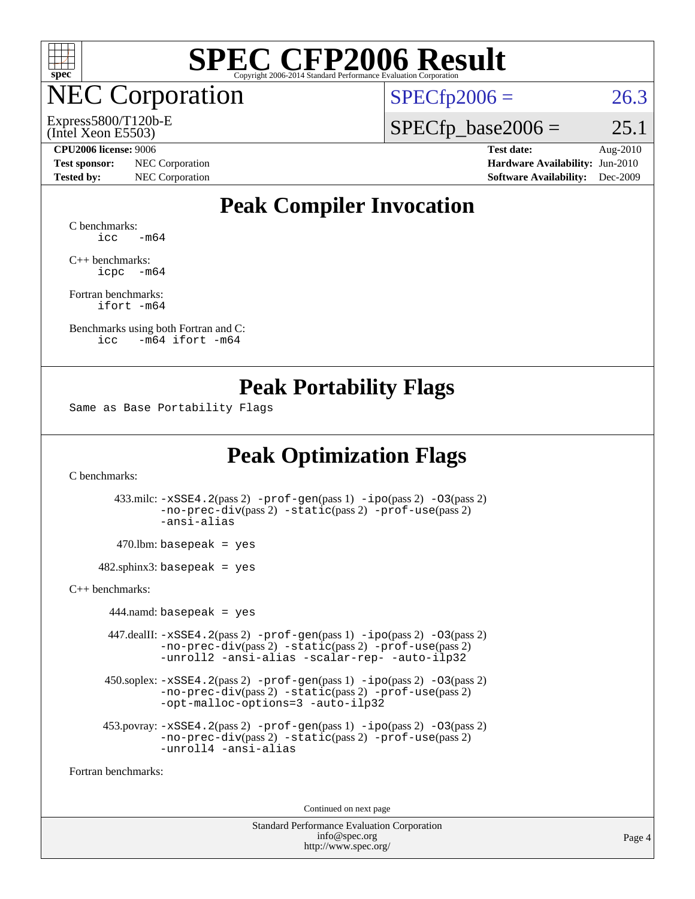

**EC Corporation** 

(Intel Xeon E5503) Express5800/T120b-E  $SPECTp2006 = 26.3$ 

 $SPECTp\_base2006 = 25.1$ 

**[CPU2006 license:](http://www.spec.org/auto/cpu2006/Docs/result-fields.html#CPU2006license)** 9006 **[Test date:](http://www.spec.org/auto/cpu2006/Docs/result-fields.html#Testdate)** Aug-2010

**[Test sponsor:](http://www.spec.org/auto/cpu2006/Docs/result-fields.html#Testsponsor)** NEC Corporation **[Hardware Availability:](http://www.spec.org/auto/cpu2006/Docs/result-fields.html#HardwareAvailability)** Jun-2010 **[Tested by:](http://www.spec.org/auto/cpu2006/Docs/result-fields.html#Testedby)** NEC Corporation **[Software Availability:](http://www.spec.org/auto/cpu2006/Docs/result-fields.html#SoftwareAvailability)** Dec-2009

## **[Peak Compiler Invocation](http://www.spec.org/auto/cpu2006/Docs/result-fields.html#PeakCompilerInvocation)**

[C benchmarks](http://www.spec.org/auto/cpu2006/Docs/result-fields.html#Cbenchmarks):  $\text{icc}$   $-\text{m64}$ 

[C++ benchmarks:](http://www.spec.org/auto/cpu2006/Docs/result-fields.html#CXXbenchmarks) [icpc -m64](http://www.spec.org/cpu2006/results/res2010q3/cpu2006-20100829-13097.flags.html#user_CXXpeak_intel_icpc_64bit_bedb90c1146cab66620883ef4f41a67e)

[Fortran benchmarks](http://www.spec.org/auto/cpu2006/Docs/result-fields.html#Fortranbenchmarks): [ifort -m64](http://www.spec.org/cpu2006/results/res2010q3/cpu2006-20100829-13097.flags.html#user_FCpeak_intel_ifort_64bit_ee9d0fb25645d0210d97eb0527dcc06e)

[Benchmarks using both Fortran and C](http://www.spec.org/auto/cpu2006/Docs/result-fields.html#BenchmarksusingbothFortranandC): [icc -m64](http://www.spec.org/cpu2006/results/res2010q3/cpu2006-20100829-13097.flags.html#user_CC_FCpeak_intel_icc_64bit_0b7121f5ab7cfabee23d88897260401c) [ifort -m64](http://www.spec.org/cpu2006/results/res2010q3/cpu2006-20100829-13097.flags.html#user_CC_FCpeak_intel_ifort_64bit_ee9d0fb25645d0210d97eb0527dcc06e)

#### **[Peak Portability Flags](http://www.spec.org/auto/cpu2006/Docs/result-fields.html#PeakPortabilityFlags)**

Same as Base Portability Flags

## **[Peak Optimization Flags](http://www.spec.org/auto/cpu2006/Docs/result-fields.html#PeakOptimizationFlags)**

[C benchmarks](http://www.spec.org/auto/cpu2006/Docs/result-fields.html#Cbenchmarks):

 433.milc: [-xSSE4.2](http://www.spec.org/cpu2006/results/res2010q3/cpu2006-20100829-13097.flags.html#user_peakPASS2_CFLAGSPASS2_LDFLAGS433_milc_f-xSSE42_f91528193cf0b216347adb8b939d4107)(pass 2) [-prof-gen](http://www.spec.org/cpu2006/results/res2010q3/cpu2006-20100829-13097.flags.html#user_peakPASS1_CFLAGSPASS1_LDFLAGS433_milc_prof_gen_e43856698f6ca7b7e442dfd80e94a8fc)(pass 1) [-ipo](http://www.spec.org/cpu2006/results/res2010q3/cpu2006-20100829-13097.flags.html#user_peakPASS2_CFLAGSPASS2_LDFLAGS433_milc_f-ipo)(pass 2) [-O3](http://www.spec.org/cpu2006/results/res2010q3/cpu2006-20100829-13097.flags.html#user_peakPASS2_CFLAGSPASS2_LDFLAGS433_milc_f-O3)(pass 2) [-no-prec-div](http://www.spec.org/cpu2006/results/res2010q3/cpu2006-20100829-13097.flags.html#user_peakPASS2_CFLAGSPASS2_LDFLAGS433_milc_f-no-prec-div)(pass 2) [-static](http://www.spec.org/cpu2006/results/res2010q3/cpu2006-20100829-13097.flags.html#user_peakPASS2_CFLAGSPASS2_LDFLAGS433_milc_f-static)(pass 2) [-prof-use](http://www.spec.org/cpu2006/results/res2010q3/cpu2006-20100829-13097.flags.html#user_peakPASS2_CFLAGSPASS2_LDFLAGS433_milc_prof_use_bccf7792157ff70d64e32fe3e1250b55)(pass 2) [-ansi-alias](http://www.spec.org/cpu2006/results/res2010q3/cpu2006-20100829-13097.flags.html#user_peakOPTIMIZE433_milc_f-ansi-alias)

 $470.$ lbm: basepeak = yes

 $482$ .sphinx3: basepeak = yes

#### [C++ benchmarks:](http://www.spec.org/auto/cpu2006/Docs/result-fields.html#CXXbenchmarks)

 $444$ .namd: basepeak = yes 447.dealII: [-xSSE4.2](http://www.spec.org/cpu2006/results/res2010q3/cpu2006-20100829-13097.flags.html#user_peakPASS2_CXXFLAGSPASS2_LDFLAGS447_dealII_f-xSSE42_f91528193cf0b216347adb8b939d4107)(pass 2) [-prof-gen](http://www.spec.org/cpu2006/results/res2010q3/cpu2006-20100829-13097.flags.html#user_peakPASS1_CXXFLAGSPASS1_LDFLAGS447_dealII_prof_gen_e43856698f6ca7b7e442dfd80e94a8fc)(pass 1) [-ipo](http://www.spec.org/cpu2006/results/res2010q3/cpu2006-20100829-13097.flags.html#user_peakPASS2_CXXFLAGSPASS2_LDFLAGS447_dealII_f-ipo)(pass 2) [-O3](http://www.spec.org/cpu2006/results/res2010q3/cpu2006-20100829-13097.flags.html#user_peakPASS2_CXXFLAGSPASS2_LDFLAGS447_dealII_f-O3)(pass 2) [-no-prec-div](http://www.spec.org/cpu2006/results/res2010q3/cpu2006-20100829-13097.flags.html#user_peakPASS2_CXXFLAGSPASS2_LDFLAGS447_dealII_f-no-prec-div)(pass 2) [-static](http://www.spec.org/cpu2006/results/res2010q3/cpu2006-20100829-13097.flags.html#user_peakPASS2_CXXFLAGSPASS2_LDFLAGS447_dealII_f-static)(pass 2) [-prof-use](http://www.spec.org/cpu2006/results/res2010q3/cpu2006-20100829-13097.flags.html#user_peakPASS2_CXXFLAGSPASS2_LDFLAGS447_dealII_prof_use_bccf7792157ff70d64e32fe3e1250b55)(pass 2) [-unroll2](http://www.spec.org/cpu2006/results/res2010q3/cpu2006-20100829-13097.flags.html#user_peakOPTIMIZE447_dealII_f-unroll_784dae83bebfb236979b41d2422d7ec2) [-ansi-alias](http://www.spec.org/cpu2006/results/res2010q3/cpu2006-20100829-13097.flags.html#user_peakOPTIMIZE447_dealII_f-ansi-alias) [-scalar-rep-](http://www.spec.org/cpu2006/results/res2010q3/cpu2006-20100829-13097.flags.html#user_peakOPTIMIZE447_dealII_f-disablescalarrep_abbcad04450fb118e4809c81d83c8a1d) [-auto-ilp32](http://www.spec.org/cpu2006/results/res2010q3/cpu2006-20100829-13097.flags.html#user_peakCXXOPTIMIZE447_dealII_f-auto-ilp32) 450.soplex: [-xSSE4.2](http://www.spec.org/cpu2006/results/res2010q3/cpu2006-20100829-13097.flags.html#user_peakPASS2_CXXFLAGSPASS2_LDFLAGS450_soplex_f-xSSE42_f91528193cf0b216347adb8b939d4107)(pass 2) [-prof-gen](http://www.spec.org/cpu2006/results/res2010q3/cpu2006-20100829-13097.flags.html#user_peakPASS1_CXXFLAGSPASS1_LDFLAGS450_soplex_prof_gen_e43856698f6ca7b7e442dfd80e94a8fc)(pass 1) [-ipo](http://www.spec.org/cpu2006/results/res2010q3/cpu2006-20100829-13097.flags.html#user_peakPASS2_CXXFLAGSPASS2_LDFLAGS450_soplex_f-ipo)(pass 2) [-O3](http://www.spec.org/cpu2006/results/res2010q3/cpu2006-20100829-13097.flags.html#user_peakPASS2_CXXFLAGSPASS2_LDFLAGS450_soplex_f-O3)(pass 2) [-no-prec-div](http://www.spec.org/cpu2006/results/res2010q3/cpu2006-20100829-13097.flags.html#user_peakPASS2_CXXFLAGSPASS2_LDFLAGS450_soplex_f-no-prec-div)(pass 2) [-static](http://www.spec.org/cpu2006/results/res2010q3/cpu2006-20100829-13097.flags.html#user_peakPASS2_CXXFLAGSPASS2_LDFLAGS450_soplex_f-static)(pass 2) [-prof-use](http://www.spec.org/cpu2006/results/res2010q3/cpu2006-20100829-13097.flags.html#user_peakPASS2_CXXFLAGSPASS2_LDFLAGS450_soplex_prof_use_bccf7792157ff70d64e32fe3e1250b55)(pass 2) [-opt-malloc-options=3](http://www.spec.org/cpu2006/results/res2010q3/cpu2006-20100829-13097.flags.html#user_peakOPTIMIZE450_soplex_f-opt-malloc-options_13ab9b803cf986b4ee62f0a5998c2238) [-auto-ilp32](http://www.spec.org/cpu2006/results/res2010q3/cpu2006-20100829-13097.flags.html#user_peakCXXOPTIMIZE450_soplex_f-auto-ilp32) 453.povray: [-xSSE4.2](http://www.spec.org/cpu2006/results/res2010q3/cpu2006-20100829-13097.flags.html#user_peakPASS2_CXXFLAGSPASS2_LDFLAGS453_povray_f-xSSE42_f91528193cf0b216347adb8b939d4107)(pass 2) [-prof-gen](http://www.spec.org/cpu2006/results/res2010q3/cpu2006-20100829-13097.flags.html#user_peakPASS1_CXXFLAGSPASS1_LDFLAGS453_povray_prof_gen_e43856698f6ca7b7e442dfd80e94a8fc)(pass 1) [-ipo](http://www.spec.org/cpu2006/results/res2010q3/cpu2006-20100829-13097.flags.html#user_peakPASS2_CXXFLAGSPASS2_LDFLAGS453_povray_f-ipo)(pass 2) [-O3](http://www.spec.org/cpu2006/results/res2010q3/cpu2006-20100829-13097.flags.html#user_peakPASS2_CXXFLAGSPASS2_LDFLAGS453_povray_f-O3)(pass 2) [-no-prec-div](http://www.spec.org/cpu2006/results/res2010q3/cpu2006-20100829-13097.flags.html#user_peakPASS2_CXXFLAGSPASS2_LDFLAGS453_povray_f-no-prec-div)(pass 2) [-static](http://www.spec.org/cpu2006/results/res2010q3/cpu2006-20100829-13097.flags.html#user_peakPASS2_CXXFLAGSPASS2_LDFLAGS453_povray_f-static)(pass 2) [-prof-use](http://www.spec.org/cpu2006/results/res2010q3/cpu2006-20100829-13097.flags.html#user_peakPASS2_CXXFLAGSPASS2_LDFLAGS453_povray_prof_use_bccf7792157ff70d64e32fe3e1250b55)(pass 2) [-unroll4](http://www.spec.org/cpu2006/results/res2010q3/cpu2006-20100829-13097.flags.html#user_peakCXXOPTIMIZE453_povray_f-unroll_4e5e4ed65b7fd20bdcd365bec371b81f) [-ansi-alias](http://www.spec.org/cpu2006/results/res2010q3/cpu2006-20100829-13097.flags.html#user_peakCXXOPTIMIZE453_povray_f-ansi-alias)

[Fortran benchmarks](http://www.spec.org/auto/cpu2006/Docs/result-fields.html#Fortranbenchmarks):

Continued on next page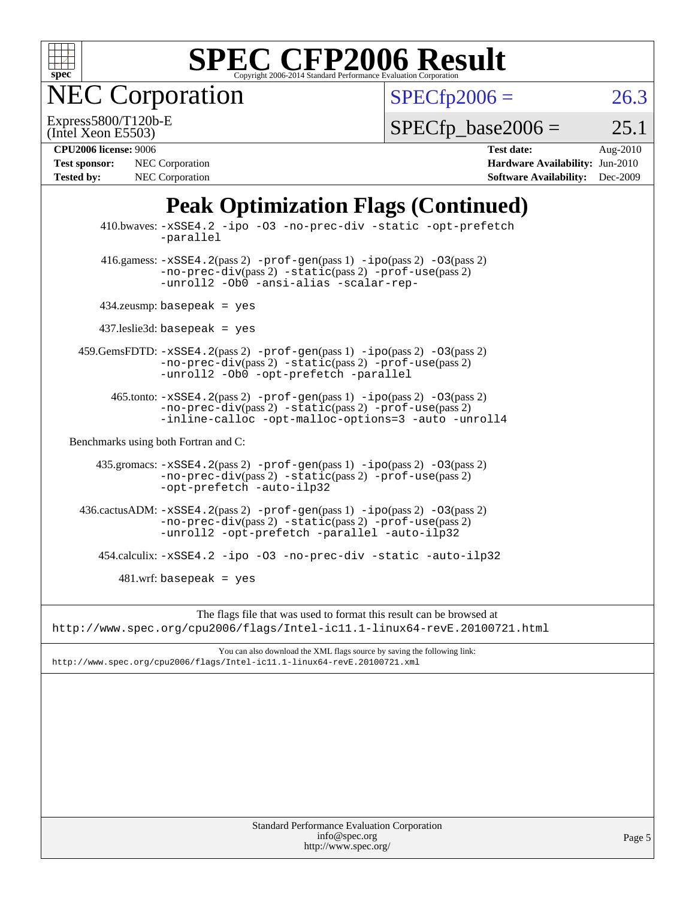

NEC Corporation

 $SPECfp2006 = 26.3$  $SPECfp2006 = 26.3$ 

(Intel Xeon E5503) Express5800/T120b-E  $SPECTp\_base2006 = 25.1$ 

| <b>Test sponsor:</b> | NEC Corporation        |
|----------------------|------------------------|
| <b>Tested by:</b>    | <b>NEC</b> Corporation |

**[CPU2006 license:](http://www.spec.org/auto/cpu2006/Docs/result-fields.html#CPU2006license)** 9006 **[Test date:](http://www.spec.org/auto/cpu2006/Docs/result-fields.html#Testdate)** Aug-2010 **[Hardware Availability:](http://www.spec.org/auto/cpu2006/Docs/result-fields.html#HardwareAvailability)** Jun-2010 **[Software Availability:](http://www.spec.org/auto/cpu2006/Docs/result-fields.html#SoftwareAvailability)** Dec-2009

# **[Peak Optimization Flags \(Continued\)](http://www.spec.org/auto/cpu2006/Docs/result-fields.html#PeakOptimizationFlags)**

|                                      | Standard Performance Evaluation Corporation<br>info@spec.org<br>http://www.spec.org/                                                                                                                  | Page 5 |
|--------------------------------------|-------------------------------------------------------------------------------------------------------------------------------------------------------------------------------------------------------|--------|
|                                      |                                                                                                                                                                                                       |        |
|                                      |                                                                                                                                                                                                       |        |
|                                      |                                                                                                                                                                                                       |        |
|                                      |                                                                                                                                                                                                       |        |
|                                      | You can also download the XML flags source by saving the following link:<br>http://www.spec.org/cpu2006/flags/Intel-icll.1-linux64-revE.20100721.xml                                                  |        |
|                                      | http://www.spec.org/cpu2006/flags/Intel-ic11.1-linux64-revE.20100721.html                                                                                                                             |        |
|                                      | The flags file that was used to format this result can be browsed at                                                                                                                                  |        |
|                                      | $481.wrf$ : basepeak = yes                                                                                                                                                                            |        |
|                                      | 454.calculix: -xSSE4.2 -ipo -03 -no-prec-div -static -auto-ilp32                                                                                                                                      |        |
|                                      | $436 \text{.cactus}$ ADM: $-xSSE4$ . $2(pass 2)$ -prof-gen(pass 1) -ipo(pass 2) -03(pass 2)<br>-no-prec-div(pass 2) -static(pass 2) -prof-use(pass 2)<br>-unroll2 -opt-prefetch -parallel -auto-ilp32 |        |
|                                      | 435.gromacs: -xSSE4.2(pass 2) -prof-gen(pass 1) -ipo(pass 2) -03(pass 2)<br>-no-prec-div(pass 2) -static(pass 2) -prof-use(pass 2)<br>-opt-prefetch -auto-ilp32                                       |        |
| Benchmarks using both Fortran and C: |                                                                                                                                                                                                       |        |
|                                      | $465$ .tonto: $-xSSE4$ . 2(pass 2) $-prof-gen(pass 1) -ipo(pass 2) -O3(pass 2)$<br>$-no-prec-div(pass 2) -static(pass 2) -prof-use(pass 2)$<br>-inline-calloc -opt-malloc-options=3 -auto -unroll4    |        |
|                                      | 459.GemsFDTD: -xSSE4.2(pass 2) -prof-gen(pass 1) -ipo(pass 2) -03(pass 2)<br>$-no-prec-div(pass 2) -static(pass 2) -prof-use(pass 2)$<br>-unroll2 -Ob0 -opt-prefetch -parallel                        |        |
|                                      | $437$ leslie3d: basepeak = yes                                                                                                                                                                        |        |
|                                      | $434$ .zeusmp: basepeak = yes                                                                                                                                                                         |        |
|                                      | 416.gamess: $-xSSE4$ . 2(pass 2) $-prof-gen(pass 1) -ipo(pass 2) -O3(pass 2)$<br>$-no-prec-div(pass 2) -static(pass 2) -prof-use(pass 2)$<br>-unroll2 -Ob0 -ansi-alias -scalar-rep-                   |        |
|                                      | 410.bwaves: -xSSE4.2 -ipo -03 -no-prec-div -static -opt-prefetch<br>-parallel                                                                                                                         |        |